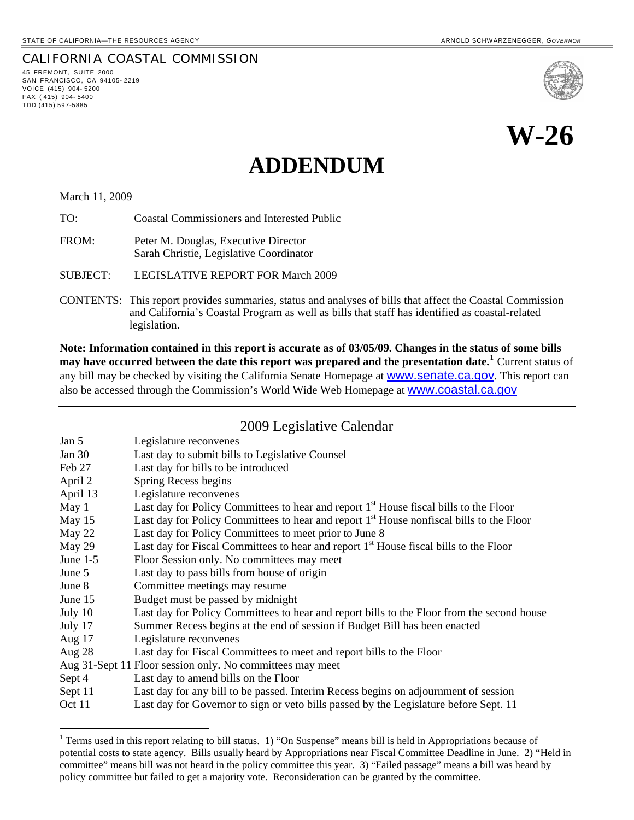45 FREMONT, SUITE 2000 SAN FRANCISCO, CA 94105- 2219 VOICE (415) 904- 5200 FAX ( 415) 904- 5400 TDD (415) 597-5885

l

CALIFORNIA COASTAL COMMISSION

# **W-26**

## **ADDENDUM**

March 11, 2009

TO: Coastal Commissioners and Interested Public

FROM: Peter M. Douglas, Executive Director Sarah Christie, Legislative Coordinator

SUBJECT: LEGISLATIVE REPORT FOR March 2009

CONTENTS: This report provides summaries, status and analyses of bills that affect the Coastal Commission and California's Coastal Program as well as bills that staff has identified as coastal-related legislation.

**Note: Information contained in this report is accurate as of 03/05/09. Changes in the status of some bills may have occurred between the date this report was prepared and the presentation date.[1](#page-0-0)** Current status of any bill may be checked by visiting the California Senate Homepage at **WWW.Senate.ca.gov**. This report can also be accessed through the Commission's World Wide Web Homepage at [www.coastal.ca.gov](http://www.coastal.ca.gov/)

#### 2009 Legislative Calendar

| Jan 5      | Legislature reconvenes                                                                               |
|------------|------------------------------------------------------------------------------------------------------|
| Jan $30$   | Last day to submit bills to Legislative Counsel                                                      |
| Feb 27     | Last day for bills to be introduced                                                                  |
| April 2    | Spring Recess begins                                                                                 |
| April 13   | Legislature reconvenes                                                                               |
| May 1      | Last day for Policy Committees to hear and report 1 <sup>st</sup> House fiscal bills to the Floor    |
| May 15     | Last day for Policy Committees to hear and report 1 <sup>st</sup> House nonfiscal bills to the Floor |
| May 22     | Last day for Policy Committees to meet prior to June 8                                               |
| May 29     | Last day for Fiscal Committees to hear and report 1 <sup>st</sup> House fiscal bills to the Floor    |
| June $1-5$ | Floor Session only. No committees may meet                                                           |
| June 5     | Last day to pass bills from house of origin                                                          |
| June 8     | Committee meetings may resume                                                                        |
| June $15$  | Budget must be passed by midnight                                                                    |
| July 10    | Last day for Policy Committees to hear and report bills to the Floor from the second house           |
| July 17    | Summer Recess begins at the end of session if Budget Bill has been enacted                           |
| Aug $17$   | Legislature reconvenes                                                                               |
| Aug $28$   | Last day for Fiscal Committees to meet and report bills to the Floor                                 |
|            | Aug 31-Sept 11 Floor session only. No committees may meet                                            |
| Sept 4     | Last day to amend bills on the Floor                                                                 |
| Sept 11    | Last day for any bill to be passed. Interim Recess begins on adjournment of session                  |
| Oct 11     | Last day for Governor to sign or veto bills passed by the Legislature before Sept. 11                |

<span id="page-0-0"></span><sup>&</sup>lt;sup>1</sup> Terms used in this report relating to bill status. 1) "On Suspense" means bill is held in Appropriations because of potential costs to state agency. Bills usually heard by Appropriations near Fiscal Committee Deadline in June. 2) "Held in committee" means bill was not heard in the policy committee this year. 3) "Failed passage" means a bill was heard by policy committee but failed to get a majority vote. Reconsideration can be granted by the committee.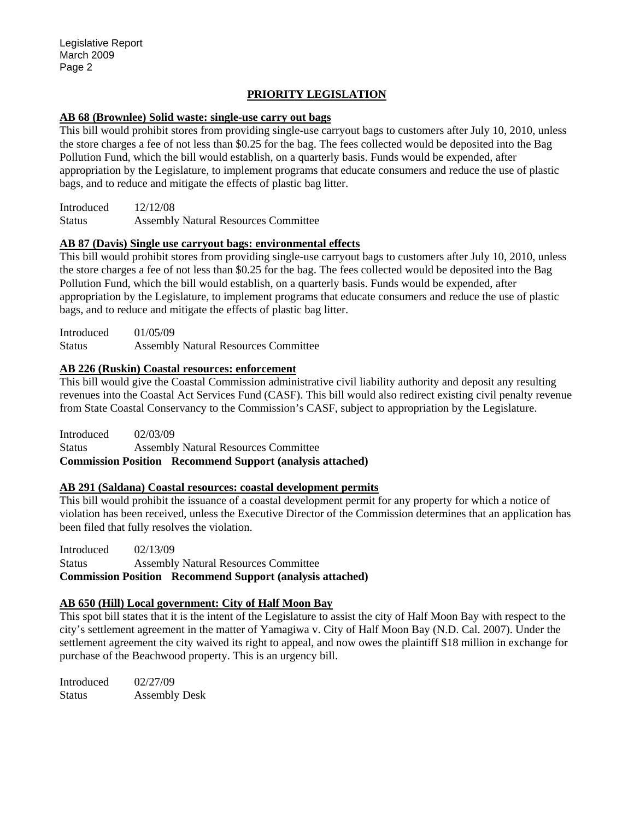#### **PRIORITY LEGISLATION**

#### **AB 68 (Brownlee) Solid waste: single-use carry out bags**

This bill would prohibit stores from providing single-use carryout bags to customers after July 10, 2010, unless the store charges a fee of not less than \$0.25 for the bag. The fees collected would be deposited into the Bag Pollution Fund, which the bill would establish, on a quarterly basis. Funds would be expended, after appropriation by the Legislature, to implement programs that educate consumers and reduce the use of plastic bags, and to reduce and mitigate the effects of plastic bag litter.

Introduced 12/12/08 Status Assembly Natural Resources Committee

#### **AB 87 (Davis) Single use carryout bags: environmental effects**

This bill would prohibit stores from providing single-use carryout bags to customers after July 10, 2010, unless the store charges a fee of not less than \$0.25 for the bag. The fees collected would be deposited into the Bag Pollution Fund, which the bill would establish, on a quarterly basis. Funds would be expended, after appropriation by the Legislature, to implement programs that educate consumers and reduce the use of plastic bags, and to reduce and mitigate the effects of plastic bag litter.

Introduced 01/05/09 Status Assembly Natural Resources Committee

#### **AB 226 (Ruskin) Coastal resources: enforcement**

This bill would give the Coastal Commission administrative civil liability authority and deposit any resulting revenues into the Coastal Act Services Fund (CASF). This bill would also redirect existing civil penalty revenue from State Coastal Conservancy to the Commission's CASF, subject to appropriation by the Legislature.

Introduced 02/03/09 Status Assembly Natural Resources Committee **Commission Position Recommend Support (analysis attached)** 

#### **AB 291 (Saldana) Coastal resources: coastal development permits**

This bill would prohibit the issuance of a coastal development permit for any property for which a notice of violation has been received, unless the Executive Director of the Commission determines that an application has been filed that fully resolves the violation.

Introduced 02/13/09 Status Assembly Natural Resources Committee **Commission Position Recommend Support (analysis attached)** 

#### **AB 650 (Hill) Local government: City of Half Moon Bay**

This spot bill states that it is the intent of the Legislature to assist the city of Half Moon Bay with respect to the city's settlement agreement in the matter of Yamagiwa v. City of Half Moon Bay (N.D. Cal. 2007). Under the settlement agreement the city waived its right to appeal, and now owes the plaintiff \$18 million in exchange for purchase of the Beachwood property. This is an urgency bill.

Introduced 02/27/09 Status Assembly Desk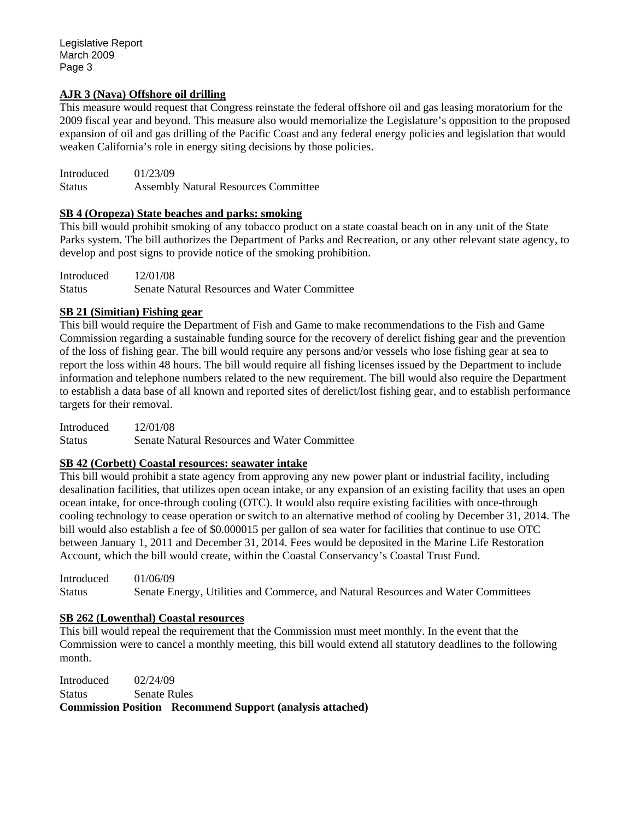Legislative Report March 2009 Page 3

#### **AJR 3 (Nava) Offshore oil drilling**

This measure would request that Congress reinstate the federal offshore oil and gas leasing moratorium for the 2009 fiscal year and beyond. This measure also would memorialize the Legislature's opposition to the proposed expansion of oil and gas drilling of the Pacific Coast and any federal energy policies and legislation that would weaken California's role in energy siting decisions by those policies.

Introduced 01/23/09 Status Assembly Natural Resources Committee

#### **SB 4 (Oropeza) State beaches and parks: smoking**

This bill would prohibit smoking of any tobacco product on a state coastal beach on in any unit of the State Parks system. The bill authorizes the Department of Parks and Recreation, or any other relevant state agency, to develop and post signs to provide notice of the smoking prohibition.

Introduced 12/01/08 Status Senate Natural Resources and Water Committee

#### **SB 21 (Simitian) Fishing gear**

This bill would require the Department of Fish and Game to make recommendations to the Fish and Game Commission regarding a sustainable funding source for the recovery of derelict fishing gear and the prevention of the loss of fishing gear. The bill would require any persons and/or vessels who lose fishing gear at sea to report the loss within 48 hours. The bill would require all fishing licenses issued by the Department to include information and telephone numbers related to the new requirement. The bill would also require the Department to establish a data base of all known and reported sites of derelict/lost fishing gear, and to establish performance targets for their removal.

Introduced 12/01/08 Status Senate Natural Resources and Water Committee

#### **SB 42 (Corbett) Coastal resources: seawater intake**

This bill would prohibit a state agency from approving any new power plant or industrial facility, including desalination facilities, that utilizes open ocean intake, or any expansion of an existing facility that uses an open ocean intake, for once-through cooling (OTC). It would also require existing facilities with once-through cooling technology to cease operation or switch to an alternative method of cooling by December 31, 2014. The bill would also establish a fee of \$0.000015 per gallon of sea water for facilities that continue to use OTC between January 1, 2011 and December 31, 2014. Fees would be deposited in the Marine Life Restoration Account, which the bill would create, within the Coastal Conservancy's Coastal Trust Fund.

Introduced 01/06/09 Status Senate Energy, Utilities and Commerce, and Natural Resources and Water Committees

#### **SB 262 (Lowenthal) Coastal resources**

This bill would repeal the requirement that the Commission must meet monthly. In the event that the Commission were to cancel a monthly meeting, this bill would extend all statutory deadlines to the following month.

Introduced 02/24/09 Status Senate Rules

**Commission Position Recommend Support (analysis attached)**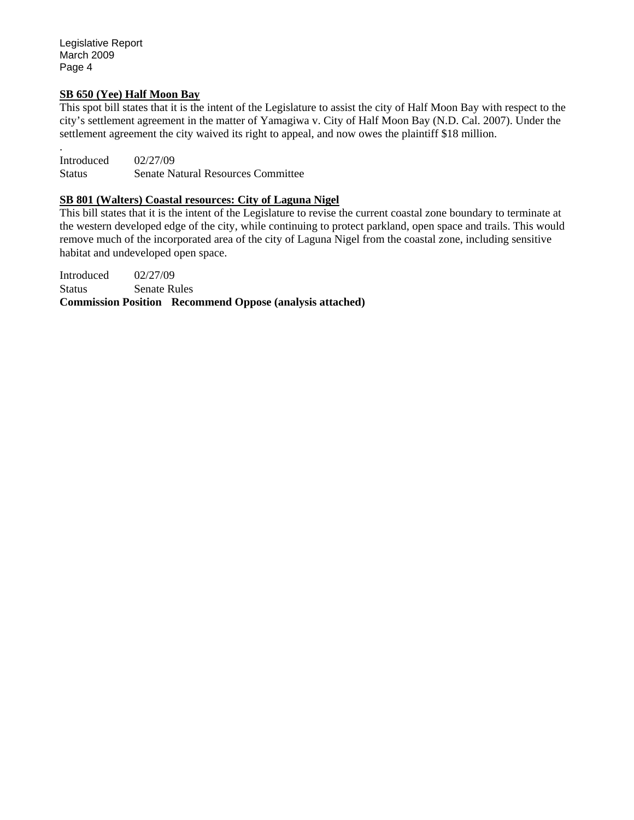Legislative Report March 2009 Page 4

#### **SB 650 (Yee) Half Moon Bay**

This spot bill states that it is the intent of the Legislature to assist the city of Half Moon Bay with respect to the city's settlement agreement in the matter of Yamagiwa v. City of Half Moon Bay (N.D. Cal. 2007). Under the settlement agreement the city waived its right to appeal, and now owes the plaintiff \$18 million.

. Introduced 02/27/09 Status Senate Natural Resources Committee

#### **SB 801 (Walters) Coastal resources: City of Laguna Nigel**

This bill states that it is the intent of the Legislature to revise the current coastal zone boundary to terminate at the western developed edge of the city, while continuing to protect parkland, open space and trails. This would remove much of the incorporated area of the city of Laguna Nigel from the coastal zone, including sensitive habitat and undeveloped open space.

Introduced 02/27/09 Status Senate Rules **Commission Position Recommend Oppose (analysis attached)**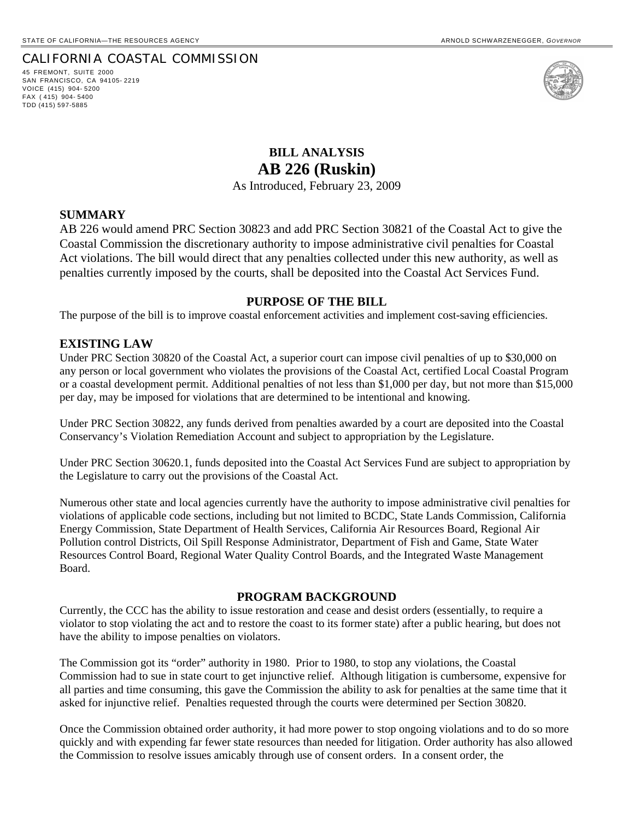45 FREMONT, SUITE 2000 SAN FRANCISCO, CA 94105- 2219 VOICE (415) 904- 5200 FAX ( 415) 904- 5400 TDD (415) 597-5885



### **BILL ANALYSIS AB 226 (Ruskin)**

As Introduced, February 23, 2009

#### **SUMMARY**

AB 226 would amend PRC Section 30823 and add PRC Section 30821 of the Coastal Act to give the Coastal Commission the discretionary authority to impose administrative civil penalties for Coastal Act violations. The bill would direct that any penalties collected under this new authority, as well as penalties currently imposed by the courts, shall be deposited into the Coastal Act Services Fund.

#### **PURPOSE OF THE BILL**

The purpose of the bill is to improve coastal enforcement activities and implement cost-saving efficiencies.

#### **EXISTING LAW**

Under PRC Section 30820 of the Coastal Act, a superior court can impose civil penalties of up to \$30,000 on any person or local government who violates the provisions of the Coastal Act, certified Local Coastal Program or a coastal development permit. Additional penalties of not less than \$1,000 per day, but not more than \$15,000 per day, may be imposed for violations that are determined to be intentional and knowing.

Under PRC Section 30822, any funds derived from penalties awarded by a court are deposited into the Coastal Conservancy's Violation Remediation Account and subject to appropriation by the Legislature.

Under PRC Section 30620.1, funds deposited into the Coastal Act Services Fund are subject to appropriation by the Legislature to carry out the provisions of the Coastal Act.

Numerous other state and local agencies currently have the authority to impose administrative civil penalties for violations of applicable code sections, including but not limited to BCDC, State Lands Commission, California Energy Commission, State Department of Health Services, California Air Resources Board, Regional Air Pollution control Districts, Oil Spill Response Administrator, Department of Fish and Game, State Water Resources Control Board, Regional Water Quality Control Boards, and the Integrated Waste Management Board.

#### **PROGRAM BACKGROUND**

Currently, the CCC has the ability to issue restoration and cease and desist orders (essentially, to require a violator to stop violating the act and to restore the coast to its former state) after a public hearing, but does not have the ability to impose penalties on violators.

The Commission got its "order" authority in 1980. Prior to 1980, to stop any violations, the Coastal Commission had to sue in state court to get injunctive relief. Although litigation is cumbersome, expensive for all parties and time consuming, this gave the Commission the ability to ask for penalties at the same time that it asked for injunctive relief. Penalties requested through the courts were determined per Section 30820.

Once the Commission obtained order authority, it had more power to stop ongoing violations and to do so more quickly and with expending far fewer state resources than needed for litigation. Order authority has also allowed the Commission to resolve issues amicably through use of consent orders. In a consent order, the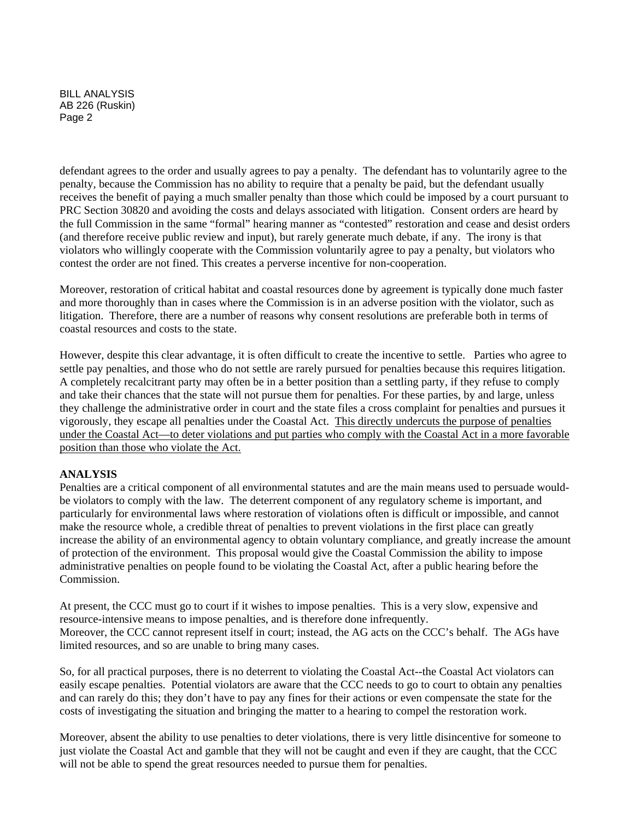BILL ANALYSIS AB 226 (Ruskin) Page 2

defendant agrees to the order and usually agrees to pay a penalty. The defendant has to voluntarily agree to the penalty, because the Commission has no ability to require that a penalty be paid, but the defendant usually receives the benefit of paying a much smaller penalty than those which could be imposed by a court pursuant to PRC Section 30820 and avoiding the costs and delays associated with litigation. Consent orders are heard by the full Commission in the same "formal" hearing manner as "contested" restoration and cease and desist orders (and therefore receive public review and input), but rarely generate much debate, if any. The irony is that violators who willingly cooperate with the Commission voluntarily agree to pay a penalty, but violators who contest the order are not fined. This creates a perverse incentive for non-cooperation.

Moreover, restoration of critical habitat and coastal resources done by agreement is typically done much faster and more thoroughly than in cases where the Commission is in an adverse position with the violator, such as litigation. Therefore, there are a number of reasons why consent resolutions are preferable both in terms of coastal resources and costs to the state.

However, despite this clear advantage, it is often difficult to create the incentive to settle. Parties who agree to settle pay penalties, and those who do not settle are rarely pursued for penalties because this requires litigation. A completely recalcitrant party may often be in a better position than a settling party, if they refuse to comply and take their chances that the state will not pursue them for penalties. For these parties, by and large, unless they challenge the administrative order in court and the state files a cross complaint for penalties and pursues it vigorously, they escape all penalties under the Coastal Act. This directly undercuts the purpose of penalties under the Coastal Act—to deter violations and put parties who comply with the Coastal Act in a more favorable position than those who violate the Act.

#### **ANALYSIS**

Penalties are a critical component of all environmental statutes and are the main means used to persuade wouldbe violators to comply with the law. The deterrent component of any regulatory scheme is important, and particularly for environmental laws where restoration of violations often is difficult or impossible, and cannot make the resource whole, a credible threat of penalties to prevent violations in the first place can greatly increase the ability of an environmental agency to obtain voluntary compliance, and greatly increase the amount of protection of the environment. This proposal would give the Coastal Commission the ability to impose administrative penalties on people found to be violating the Coastal Act, after a public hearing before the Commission.

At present, the CCC must go to court if it wishes to impose penalties. This is a very slow, expensive and resource-intensive means to impose penalties, and is therefore done infrequently. Moreover, the CCC cannot represent itself in court; instead, the AG acts on the CCC's behalf. The AGs have limited resources, and so are unable to bring many cases.

So, for all practical purposes, there is no deterrent to violating the Coastal Act--the Coastal Act violators can easily escape penalties. Potential violators are aware that the CCC needs to go to court to obtain any penalties and can rarely do this; they don't have to pay any fines for their actions or even compensate the state for the costs of investigating the situation and bringing the matter to a hearing to compel the restoration work.

Moreover, absent the ability to use penalties to deter violations, there is very little disincentive for someone to just violate the Coastal Act and gamble that they will not be caught and even if they are caught, that the CCC will not be able to spend the great resources needed to pursue them for penalties.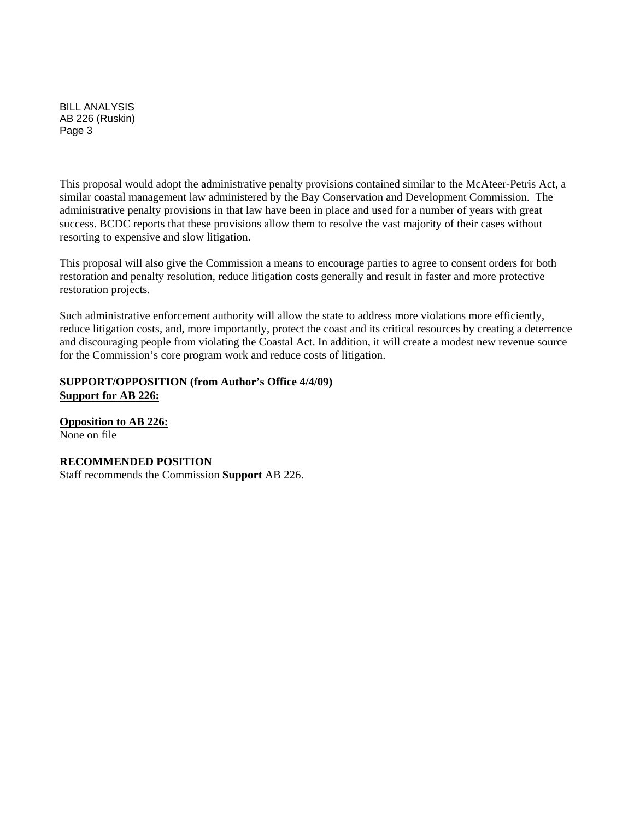BILL ANALYSIS AB 226 (Ruskin) Page 3

This proposal would adopt the administrative penalty provisions contained similar to the McAteer-Petris Act, a similar coastal management law administered by the Bay Conservation and Development Commission. The administrative penalty provisions in that law have been in place and used for a number of years with great success. BCDC reports that these provisions allow them to resolve the vast majority of their cases without resorting to expensive and slow litigation.

This proposal will also give the Commission a means to encourage parties to agree to consent orders for both restoration and penalty resolution, reduce litigation costs generally and result in faster and more protective restoration projects.

Such administrative enforcement authority will allow the state to address more violations more efficiently, reduce litigation costs, and, more importantly, protect the coast and its critical resources by creating a deterrence and discouraging people from violating the Coastal Act. In addition, it will create a modest new revenue source for the Commission's core program work and reduce costs of litigation.

#### **SUPPORT/OPPOSITION (from Author's Office 4/4/09) Support for AB 226:**

**Opposition to AB 226:** None on file

## **RECOMMENDED POSITION**

Staff recommends the Commission **Support** AB 226.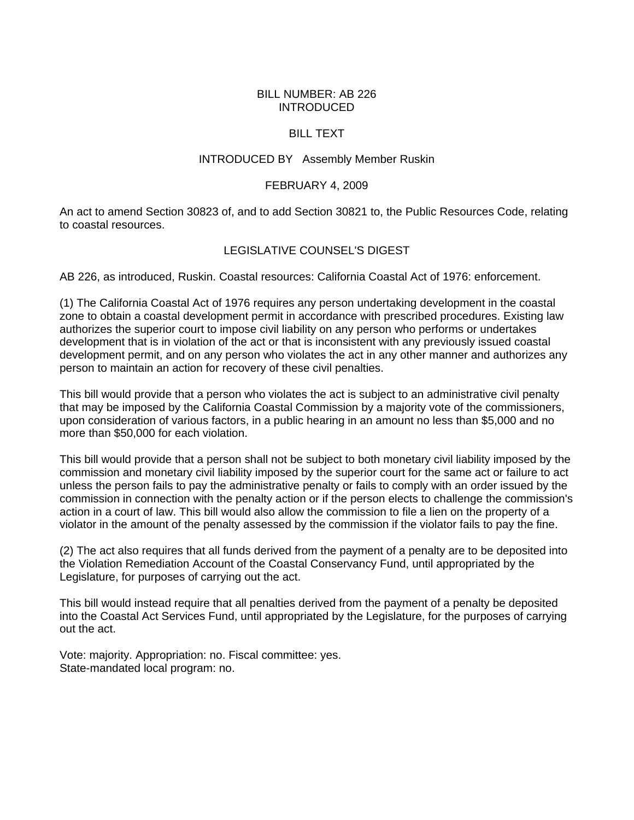#### BILL NUMBER: AB 226 INTRODUCED

#### BILL TEXT

#### INTRODUCED BY Assembly Member Ruskin

#### FEBRUARY 4, 2009

An act to amend Section 30823 of, and to add Section 30821 to, the Public Resources Code, relating to coastal resources.

#### LEGISLATIVE COUNSEL'S DIGEST

AB 226, as introduced, Ruskin. Coastal resources: California Coastal Act of 1976: enforcement.

(1) The California Coastal Act of 1976 requires any person undertaking development in the coastal zone to obtain a coastal development permit in accordance with prescribed procedures. Existing law authorizes the superior court to impose civil liability on any person who performs or undertakes development that is in violation of the act or that is inconsistent with any previously issued coastal development permit, and on any person who violates the act in any other manner and authorizes any person to maintain an action for recovery of these civil penalties.

This bill would provide that a person who violates the act is subject to an administrative civil penalty that may be imposed by the California Coastal Commission by a majority vote of the commissioners, upon consideration of various factors, in a public hearing in an amount no less than \$5,000 and no more than \$50,000 for each violation.

This bill would provide that a person shall not be subject to both monetary civil liability imposed by the commission and monetary civil liability imposed by the superior court for the same act or failure to act unless the person fails to pay the administrative penalty or fails to comply with an order issued by the commission in connection with the penalty action or if the person elects to challenge the commission's action in a court of law. This bill would also allow the commission to file a lien on the property of a violator in the amount of the penalty assessed by the commission if the violator fails to pay the fine.

(2) The act also requires that all funds derived from the payment of a penalty are to be deposited into the Violation Remediation Account of the Coastal Conservancy Fund, until appropriated by the Legislature, for purposes of carrying out the act.

This bill would instead require that all penalties derived from the payment of a penalty be deposited into the Coastal Act Services Fund, until appropriated by the Legislature, for the purposes of carrying out the act.

Vote: majority. Appropriation: no. Fiscal committee: yes. State-mandated local program: no.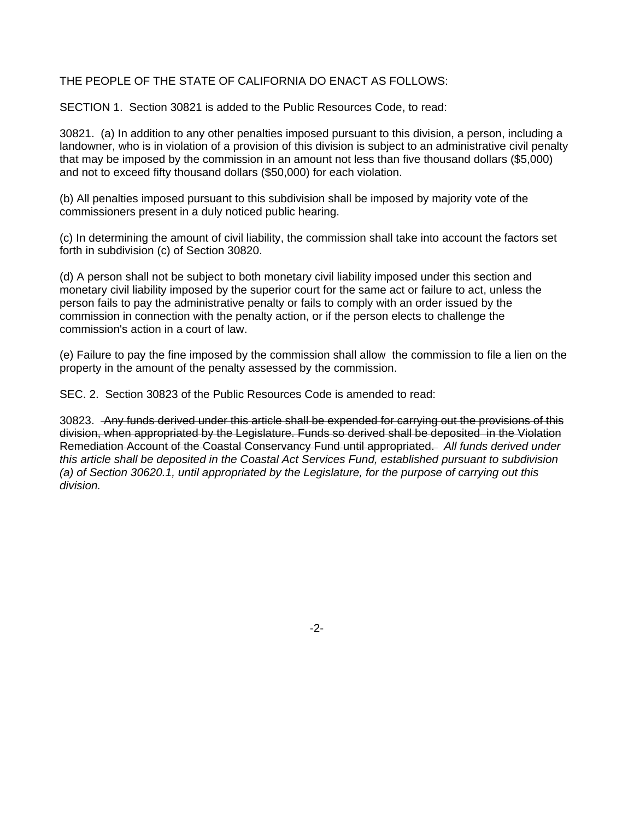#### THE PEOPLE OF THE STATE OF CALIFORNIA DO ENACT AS FOLLOWS:

SECTION 1. Section 30821 is added to the Public Resources Code, to read:

30821. (a) In addition to any other penalties imposed pursuant to this division, a person, including a landowner, who is in violation of a provision of this division is subject to an administrative civil penalty that may be imposed by the commission in an amount not less than five thousand dollars (\$5,000) and not to exceed fifty thousand dollars (\$50,000) for each violation.

(b) All penalties imposed pursuant to this subdivision shall be imposed by majority vote of the commissioners present in a duly noticed public hearing.

(c) In determining the amount of civil liability, the commission shall take into account the factors set forth in subdivision (c) of Section 30820.

(d) A person shall not be subject to both monetary civil liability imposed under this section and monetary civil liability imposed by the superior court for the same act or failure to act, unless the person fails to pay the administrative penalty or fails to comply with an order issued by the commission in connection with the penalty action, or if the person elects to challenge the commission's action in a court of law.

(e) Failure to pay the fine imposed by the commission shall allow the commission to file a lien on the property in the amount of the penalty assessed by the commission.

SEC. 2. Section 30823 of the Public Resources Code is amended to read:

30823. Any funds derived under this article shall be expended for carrying out the provisions of this division, when appropriated by the Legislature. Funds so derived shall be deposited in the Violation Remediation Account of the Coastal Conservancy Fund until appropriated. *All funds derived under this article shall be deposited in the Coastal Act Services Fund, established pursuant to subdivision (a) of Section 30620.1, until appropriated by the Legislature, for the purpose of carrying out this division.* 

-2-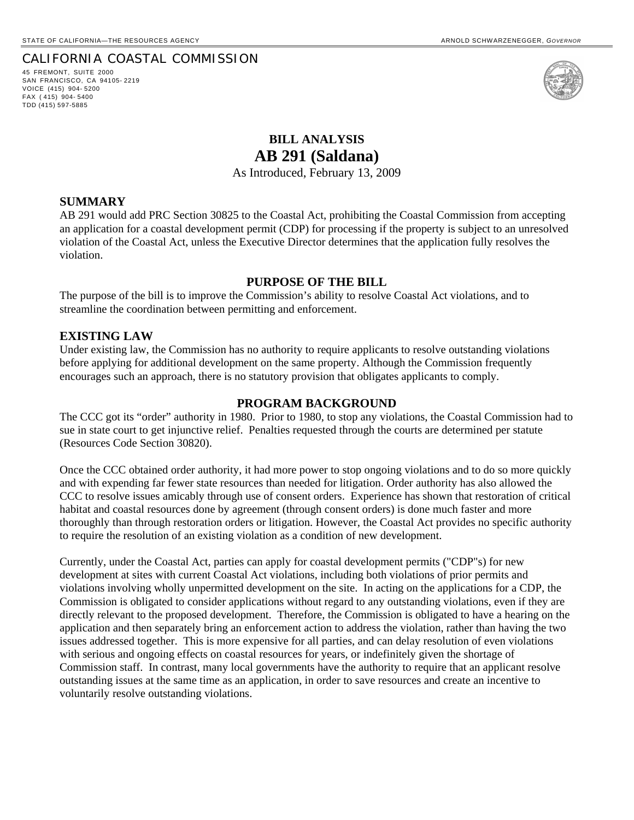45 FREMONT, SUITE 2000 SAN FRANCISCO, CA 94105- 2219 VOICE (415) 904- 5200 FAX ( 415) 904- 5400 TDD (415) 597-5885



## **BILL ANALYSIS AB 291 (Saldana)**

As Introduced, February 13, 2009

#### **SUMMARY**

AB 291 would add PRC Section 30825 to the Coastal Act, prohibiting the Coastal Commission from accepting an application for a coastal development permit (CDP) for processing if the property is subject to an unresolved violation of the Coastal Act, unless the Executive Director determines that the application fully resolves the violation.

#### **PURPOSE OF THE BILL**

The purpose of the bill is to improve the Commission's ability to resolve Coastal Act violations, and to streamline the coordination between permitting and enforcement.

#### **EXISTING LAW**

Under existing law, the Commission has no authority to require applicants to resolve outstanding violations before applying for additional development on the same property. Although the Commission frequently encourages such an approach, there is no statutory provision that obligates applicants to comply.

#### **PROGRAM BACKGROUND**

The CCC got its "order" authority in 1980. Prior to 1980, to stop any violations, the Coastal Commission had to sue in state court to get injunctive relief. Penalties requested through the courts are determined per statute (Resources Code Section 30820).

Once the CCC obtained order authority, it had more power to stop ongoing violations and to do so more quickly and with expending far fewer state resources than needed for litigation. Order authority has also allowed the CCC to resolve issues amicably through use of consent orders. Experience has shown that restoration of critical habitat and coastal resources done by agreement (through consent orders) is done much faster and more thoroughly than through restoration orders or litigation. However, the Coastal Act provides no specific authority to require the resolution of an existing violation as a condition of new development.

Currently, under the Coastal Act, parties can apply for coastal development permits ("CDP"s) for new development at sites with current Coastal Act violations, including both violations of prior permits and violations involving wholly unpermitted development on the site. In acting on the applications for a CDP, the Commission is obligated to consider applications without regard to any outstanding violations, even if they are directly relevant to the proposed development. Therefore, the Commission is obligated to have a hearing on the application and then separately bring an enforcement action to address the violation, rather than having the two issues addressed together. This is more expensive for all parties, and can delay resolution of even violations with serious and ongoing effects on coastal resources for years, or indefinitely given the shortage of Commission staff. In contrast, many local governments have the authority to require that an applicant resolve outstanding issues at the same time as an application, in order to save resources and create an incentive to voluntarily resolve outstanding violations.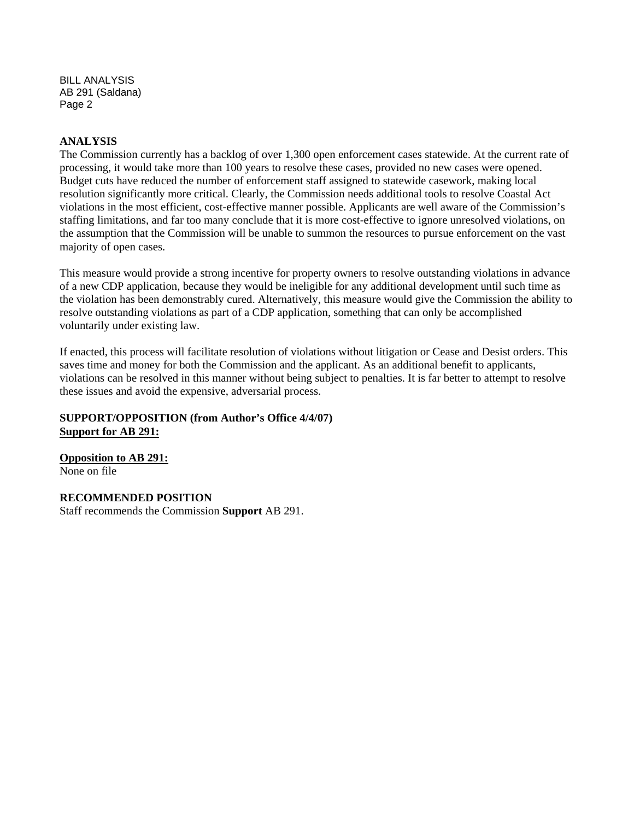BILL ANALYSIS AB 291 (Saldana) Page 2

#### **ANALYSIS**

The Commission currently has a backlog of over 1,300 open enforcement cases statewide. At the current rate of processing, it would take more than 100 years to resolve these cases, provided no new cases were opened. Budget cuts have reduced the number of enforcement staff assigned to statewide casework, making local resolution significantly more critical. Clearly, the Commission needs additional tools to resolve Coastal Act violations in the most efficient, cost-effective manner possible. Applicants are well aware of the Commission's staffing limitations, and far too many conclude that it is more cost-effective to ignore unresolved violations, on the assumption that the Commission will be unable to summon the resources to pursue enforcement on the vast majority of open cases.

This measure would provide a strong incentive for property owners to resolve outstanding violations in advance of a new CDP application, because they would be ineligible for any additional development until such time as the violation has been demonstrably cured. Alternatively, this measure would give the Commission the ability to resolve outstanding violations as part of a CDP application, something that can only be accomplished voluntarily under existing law.

If enacted, this process will facilitate resolution of violations without litigation or Cease and Desist orders. This saves time and money for both the Commission and the applicant. As an additional benefit to applicants, violations can be resolved in this manner without being subject to penalties. It is far better to attempt to resolve these issues and avoid the expensive, adversarial process.

#### **SUPPORT/OPPOSITION (from Author's Office 4/4/07) Support for AB 291:**

**Opposition to AB 291:** None on file

**RECOMMENDED POSITION**  Staff recommends the Commission **Support** AB 291.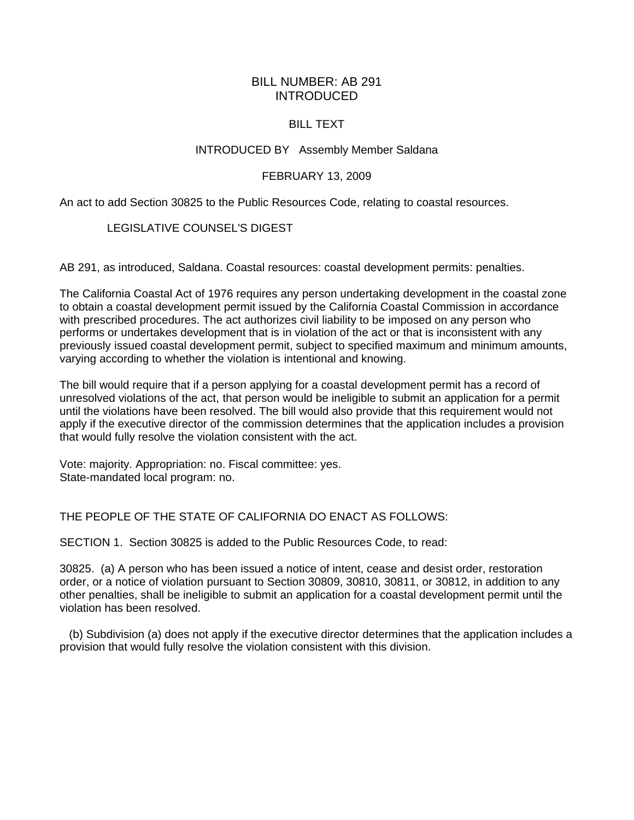#### BILL NUMBER: AB 291 INTRODUCED

#### BILL TEXT

#### INTRODUCED BY Assembly Member Saldana

#### FEBRUARY 13, 2009

An act to add Section 30825 to the Public Resources Code, relating to coastal resources.

#### LEGISLATIVE COUNSEL'S DIGEST

AB 291, as introduced, Saldana. Coastal resources: coastal development permits: penalties.

The California Coastal Act of 1976 requires any person undertaking development in the coastal zone to obtain a coastal development permit issued by the California Coastal Commission in accordance with prescribed procedures. The act authorizes civil liability to be imposed on any person who performs or undertakes development that is in violation of the act or that is inconsistent with any previously issued coastal development permit, subject to specified maximum and minimum amounts, varying according to whether the violation is intentional and knowing.

The bill would require that if a person applying for a coastal development permit has a record of unresolved violations of the act, that person would be ineligible to submit an application for a permit until the violations have been resolved. The bill would also provide that this requirement would not apply if the executive director of the commission determines that the application includes a provision that would fully resolve the violation consistent with the act.

Vote: majority. Appropriation: no. Fiscal committee: yes. State-mandated local program: no.

THE PEOPLE OF THE STATE OF CALIFORNIA DO ENACT AS FOLLOWS:

SECTION 1. Section 30825 is added to the Public Resources Code, to read:

30825. (a) A person who has been issued a notice of intent, cease and desist order, restoration order, or a notice of violation pursuant to Section 30809, 30810, 30811, or 30812, in addition to any other penalties, shall be ineligible to submit an application for a coastal development permit until the violation has been resolved.

 (b) Subdivision (a) does not apply if the executive director determines that the application includes a provision that would fully resolve the violation consistent with this division.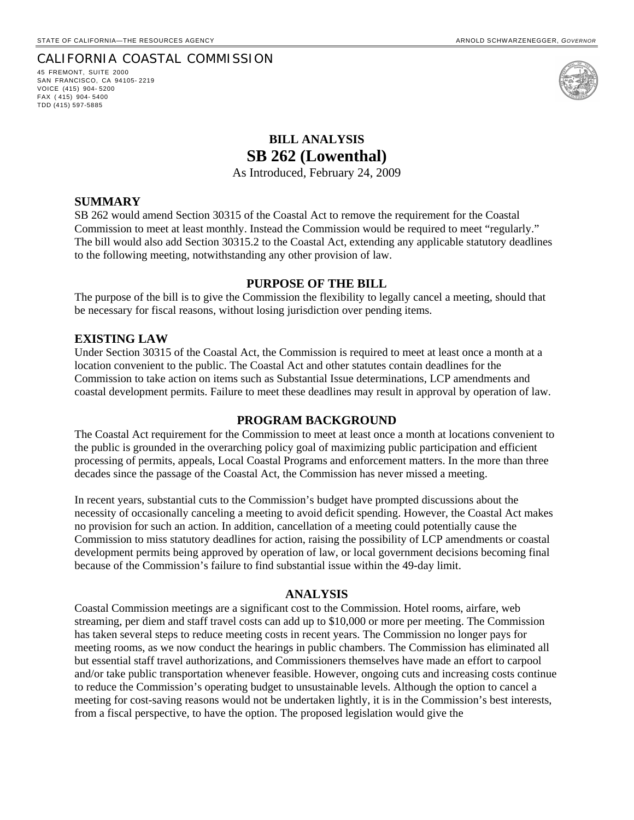45 FREMONT, SUITE 2000 SAN FRANCISCO, CA 94105- 2219 VOICE (415) 904- 5200 FAX ( 415) 904- 5400 TDD (415) 597-5885



## **BILL ANALYSIS SB 262 (Lowenthal)**

As Introduced, February 24, 2009

#### **SUMMARY**

SB 262 would amend Section 30315 of the Coastal Act to remove the requirement for the Coastal Commission to meet at least monthly. Instead the Commission would be required to meet "regularly." The bill would also add Section 30315.2 to the Coastal Act, extending any applicable statutory deadlines to the following meeting, notwithstanding any other provision of law.

#### **PURPOSE OF THE BILL**

The purpose of the bill is to give the Commission the flexibility to legally cancel a meeting, should that be necessary for fiscal reasons, without losing jurisdiction over pending items.

#### **EXISTING LAW**

Under Section 30315 of the Coastal Act, the Commission is required to meet at least once a month at a location convenient to the public. The Coastal Act and other statutes contain deadlines for the Commission to take action on items such as Substantial Issue determinations, LCP amendments and coastal development permits. Failure to meet these deadlines may result in approval by operation of law.

#### **PROGRAM BACKGROUND**

The Coastal Act requirement for the Commission to meet at least once a month at locations convenient to the public is grounded in the overarching policy goal of maximizing public participation and efficient processing of permits, appeals, Local Coastal Programs and enforcement matters. In the more than three decades since the passage of the Coastal Act, the Commission has never missed a meeting.

In recent years, substantial cuts to the Commission's budget have prompted discussions about the necessity of occasionally canceling a meeting to avoid deficit spending. However, the Coastal Act makes no provision for such an action. In addition, cancellation of a meeting could potentially cause the Commission to miss statutory deadlines for action, raising the possibility of LCP amendments or coastal development permits being approved by operation of law, or local government decisions becoming final because of the Commission's failure to find substantial issue within the 49-day limit.

#### **ANALYSIS**

Coastal Commission meetings are a significant cost to the Commission. Hotel rooms, airfare, web streaming, per diem and staff travel costs can add up to \$10,000 or more per meeting. The Commission has taken several steps to reduce meeting costs in recent years. The Commission no longer pays for meeting rooms, as we now conduct the hearings in public chambers. The Commission has eliminated all but essential staff travel authorizations, and Commissioners themselves have made an effort to carpool and/or take public transportation whenever feasible. However, ongoing cuts and increasing costs continue to reduce the Commission's operating budget to unsustainable levels. Although the option to cancel a meeting for cost-saving reasons would not be undertaken lightly, it is in the Commission's best interests, from a fiscal perspective, to have the option. The proposed legislation would give the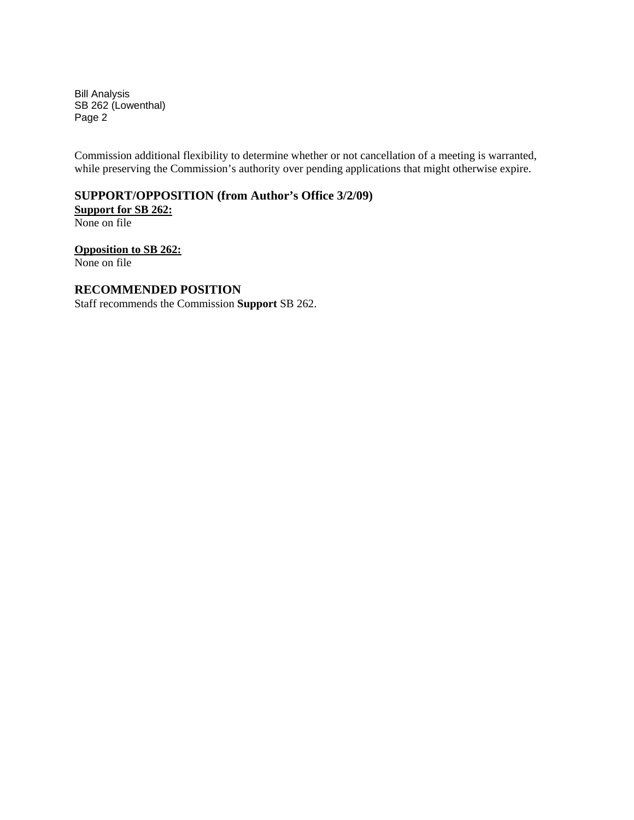Bill Analysis SB 262 (Lowenthal) Page 2

Commission additional flexibility to determine whether or not cancellation of a meeting is warranted, while preserving the Commission's authority over pending applications that might otherwise expire.

#### **SUPPORT/OPPOSITION (from Author's Office 3/2/09) Support for SB 262:**

None on file

**Opposition to SB 262:** None on file

#### **RECOMMENDED POSITION**

Staff recommends the Commission **Support** SB 262.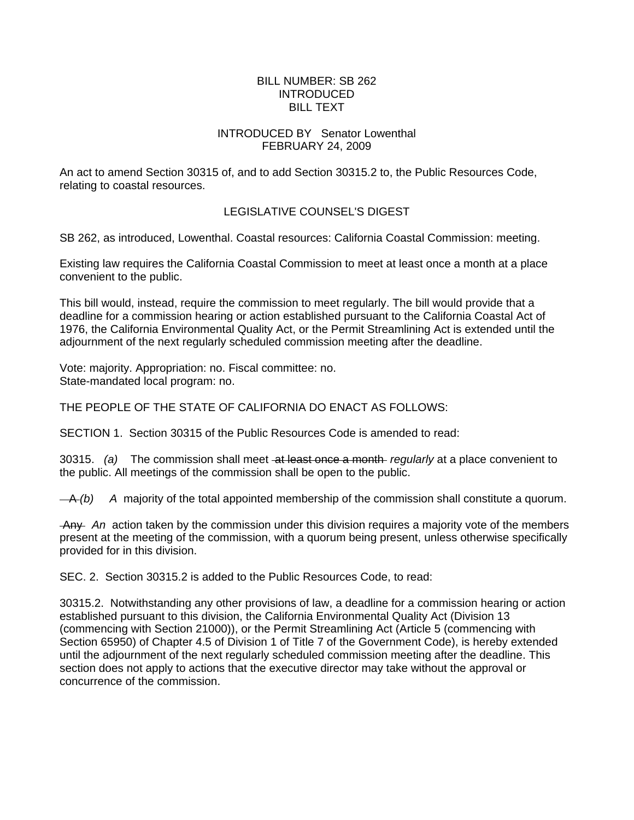#### BILL NUMBER: SB 262 INTRODUCED BILL TEXT

#### INTRODUCED BY Senator Lowenthal FEBRUARY 24, 2009

An act to amend Section 30315 of, and to add Section 30315.2 to, the Public Resources Code, relating to coastal resources.

#### LEGISLATIVE COUNSEL'S DIGEST

SB 262, as introduced, Lowenthal. Coastal resources: California Coastal Commission: meeting.

Existing law requires the California Coastal Commission to meet at least once a month at a place convenient to the public.

This bill would, instead, require the commission to meet regularly. The bill would provide that a deadline for a commission hearing or action established pursuant to the California Coastal Act of 1976, the California Environmental Quality Act, or the Permit Streamlining Act is extended until the adjournment of the next regularly scheduled commission meeting after the deadline.

Vote: majority. Appropriation: no. Fiscal committee: no. State-mandated local program: no.

THE PEOPLE OF THE STATE OF CALIFORNIA DO ENACT AS FOLLOWS:

SECTION 1. Section 30315 of the Public Resources Code is amended to read:

30315. *(a)* The commission shall meet at least once a month *regularly* at a place convenient to the public. All meetings of the commission shall be open to the public.

A *(b) A* majority of the total appointed membership of the commission shall constitute a quorum.

 Any *An* action taken by the commission under this division requires a majority vote of the members present at the meeting of the commission, with a quorum being present, unless otherwise specifically provided for in this division.

SEC. 2. Section 30315.2 is added to the Public Resources Code, to read:

30315.2. Notwithstanding any other provisions of law, a deadline for a commission hearing or action established pursuant to this division, the California Environmental Quality Act (Division 13 (commencing with Section 21000)), or the Permit Streamlining Act (Article 5 (commencing with Section 65950) of Chapter 4.5 of Division 1 of Title 7 of the Government Code), is hereby extended until the adjournment of the next regularly scheduled commission meeting after the deadline. This section does not apply to actions that the executive director may take without the approval or concurrence of the commission.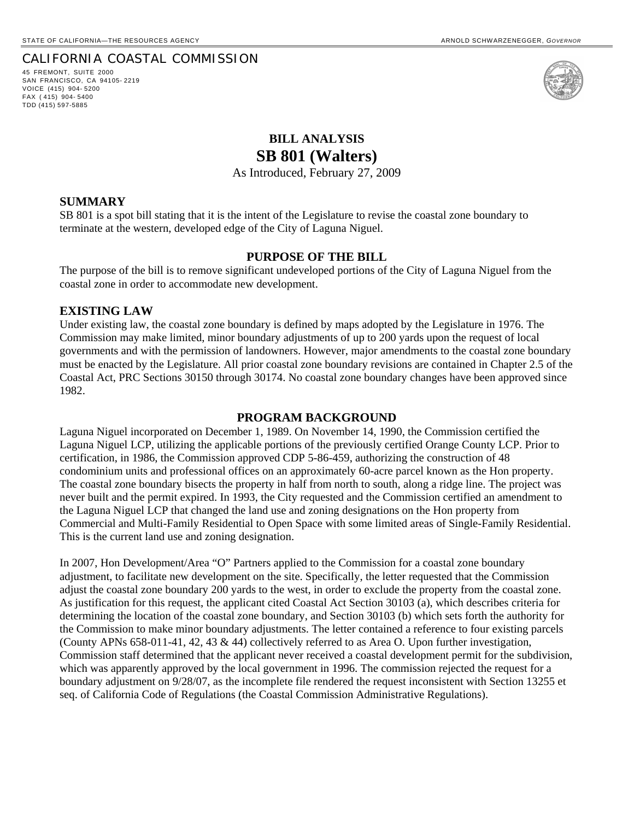45 FREMONT, SUITE 2000 SAN FRANCISCO, CA 94105- 2219 VOICE (415) 904- 5200 FAX ( 415) 904- 5400 TDD (415) 597-5885



## **BILL ANALYSIS SB 801 (Walters)**

As Introduced, February 27, 2009

#### **SUMMARY**

SB 801 is a spot bill stating that it is the intent of the Legislature to revise the coastal zone boundary to terminate at the western, developed edge of the City of Laguna Niguel.

#### **PURPOSE OF THE BILL**

The purpose of the bill is to remove significant undeveloped portions of the City of Laguna Niguel from the coastal zone in order to accommodate new development.

#### **EXISTING LAW**

Under existing law, the coastal zone boundary is defined by maps adopted by the Legislature in 1976. The Commission may make limited, minor boundary adjustments of up to 200 yards upon the request of local governments and with the permission of landowners. However, major amendments to the coastal zone boundary must be enacted by the Legislature. All prior coastal zone boundary revisions are contained in Chapter 2.5 of the Coastal Act, PRC Sections 30150 through 30174. No coastal zone boundary changes have been approved since 1982.

#### **PROGRAM BACKGROUND**

Laguna Niguel incorporated on December 1, 1989. On November 14, 1990, the Commission certified the Laguna Niguel LCP, utilizing the applicable portions of the previously certified Orange County LCP. Prior to certification, in 1986, the Commission approved CDP 5-86-459, authorizing the construction of 48 condominium units and professional offices on an approximately 60-acre parcel known as the Hon property. The coastal zone boundary bisects the property in half from north to south, along a ridge line. The project was never built and the permit expired. In 1993, the City requested and the Commission certified an amendment to the Laguna Niguel LCP that changed the land use and zoning designations on the Hon property from Commercial and Multi-Family Residential to Open Space with some limited areas of Single-Family Residential. This is the current land use and zoning designation.

In 2007, Hon Development/Area "O" Partners applied to the Commission for a coastal zone boundary adjustment, to facilitate new development on the site. Specifically, the letter requested that the Commission adjust the coastal zone boundary 200 yards to the west, in order to exclude the property from the coastal zone. As justification for this request, the applicant cited Coastal Act Section 30103 (a), which describes criteria for determining the location of the coastal zone boundary, and Section 30103 (b) which sets forth the authority for the Commission to make minor boundary adjustments. The letter contained a reference to four existing parcels (County APNs 658-011-41, 42, 43 & 44) collectively referred to as Area O. Upon further investigation, Commission staff determined that the applicant never received a coastal development permit for the subdivision, which was apparently approved by the local government in 1996. The commission rejected the request for a boundary adjustment on 9/28/07, as the incomplete file rendered the request inconsistent with Section 13255 et seq. of California Code of Regulations (the Coastal Commission Administrative Regulations).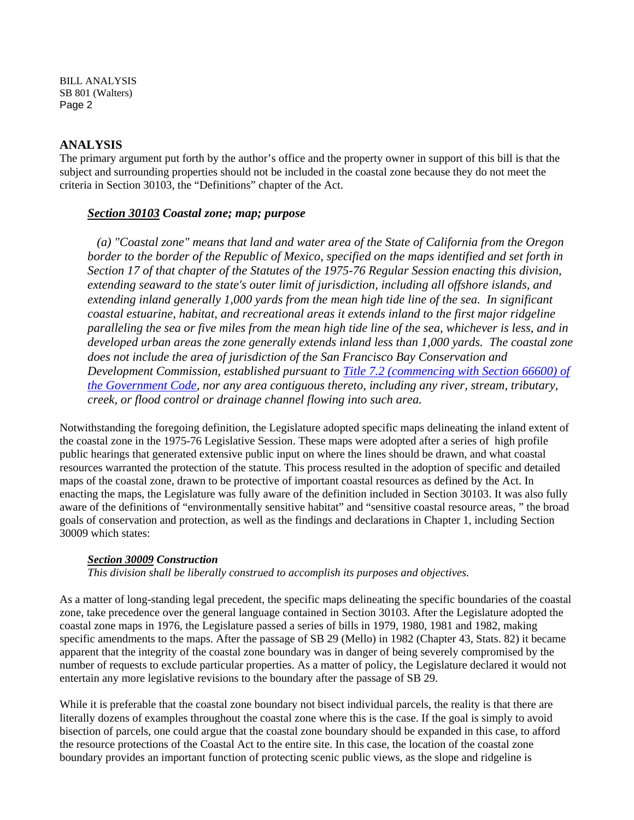BILL ANALYSIS SB 801 (Walters) Page 2

#### **ANALYSIS**

The primary argument put forth by the author's office and the property owner in support of this bill is that the subject and surrounding properties should not be included in the coastal zone because they do not meet the criteria in Section 30103, the "Definitions" chapter of the Act.

#### *Section 30103 Coastal zone; map; purpose*

 *(a) "Coastal zone" means that land and water area of the State of California from the Oregon border to the border of the Republic of Mexico, specified on the maps identified and set forth in Section 17 of that chapter of the Statutes of the 1975-76 Regular Session enacting this division, extending seaward to the state's outer limit of jurisdiction, including all offshore islands, and extending inland generally 1,000 yards from the mean high tide line of the sea. In significant coastal estuarine, habitat, and recreational areas it extends inland to the first major ridgeline paralleling the sea or five miles from the mean high tide line of the sea, whichever is less, and in developed urban areas the zone generally extends inland less than 1,000 yards. The coastal zone does not include the area of jurisdiction of the San Francisco Bay Conservation and Development Commission, established pursuant to [Title 7.2 \(commencing with Section 66600\) of](http://www.leginfo.ca.gov/calaw.html)  [the Government Code,](http://www.leginfo.ca.gov/calaw.html) nor any area contiguous thereto, including any river, stream, tributary, creek, or flood control or drainage channel flowing into such area.* 

Notwithstanding the foregoing definition, the Legislature adopted specific maps delineating the inland extent of the coastal zone in the 1975-76 Legislative Session. These maps were adopted after a series of high profile public hearings that generated extensive public input on where the lines should be drawn, and what coastal resources warranted the protection of the statute. This process resulted in the adoption of specific and detailed maps of the coastal zone, drawn to be protective of important coastal resources as defined by the Act. In enacting the maps, the Legislature was fully aware of the definition included in Section 30103. It was also fully aware of the definitions of "environmentally sensitive habitat" and "sensitive coastal resource areas, " the broad goals of conservation and protection, as well as the findings and declarations in Chapter 1, including Section 30009 which states:

#### *Section 30009 Construction*

*This division shall be liberally construed to accomplish its purposes and objectives.* 

As a matter of long-standing legal precedent, the specific maps delineating the specific boundaries of the coastal zone, take precedence over the general language contained in Section 30103. After the Legislature adopted the coastal zone maps in 1976, the Legislature passed a series of bills in 1979, 1980, 1981 and 1982, making specific amendments to the maps. After the passage of SB 29 (Mello) in 1982 (Chapter 43, Stats. 82) it became apparent that the integrity of the coastal zone boundary was in danger of being severely compromised by the number of requests to exclude particular properties. As a matter of policy, the Legislature declared it would not entertain any more legislative revisions to the boundary after the passage of SB 29.

While it is preferable that the coastal zone boundary not bisect individual parcels, the reality is that there are literally dozens of examples throughout the coastal zone where this is the case. If the goal is simply to avoid bisection of parcels, one could argue that the coastal zone boundary should be expanded in this case, to afford the resource protections of the Coastal Act to the entire site. In this case, the location of the coastal zone boundary provides an important function of protecting scenic public views, as the slope and ridgeline is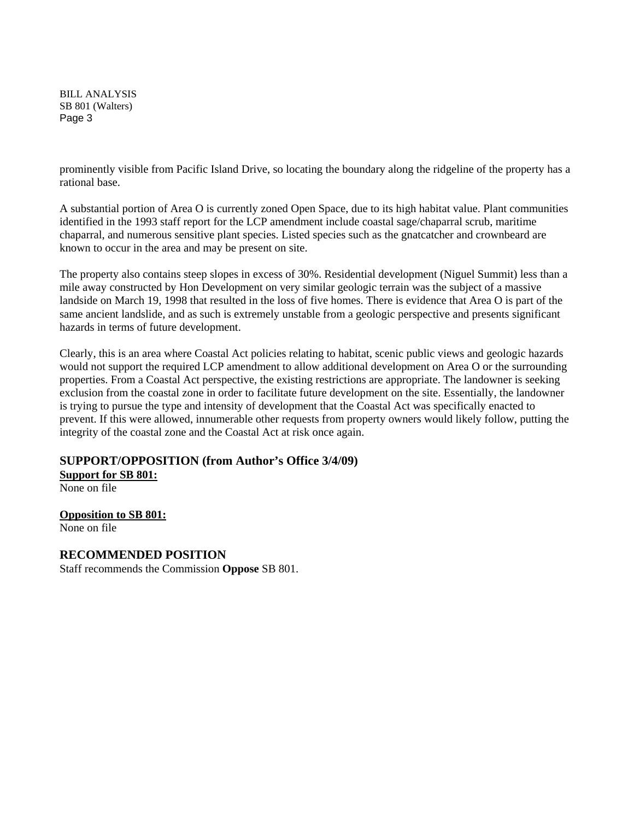BILL ANALYSIS SB 801 (Walters) Page 3

prominently visible from Pacific Island Drive, so locating the boundary along the ridgeline of the property has a rational base.

A substantial portion of Area O is currently zoned Open Space, due to its high habitat value. Plant communities identified in the 1993 staff report for the LCP amendment include coastal sage/chaparral scrub, maritime chaparral, and numerous sensitive plant species. Listed species such as the gnatcatcher and crownbeard are known to occur in the area and may be present on site.

The property also contains steep slopes in excess of 30%. Residential development (Niguel Summit) less than a mile away constructed by Hon Development on very similar geologic terrain was the subject of a massive landside on March 19, 1998 that resulted in the loss of five homes. There is evidence that Area O is part of the same ancient landslide, and as such is extremely unstable from a geologic perspective and presents significant hazards in terms of future development.

Clearly, this is an area where Coastal Act policies relating to habitat, scenic public views and geologic hazards would not support the required LCP amendment to allow additional development on Area O or the surrounding properties. From a Coastal Act perspective, the existing restrictions are appropriate. The landowner is seeking exclusion from the coastal zone in order to facilitate future development on the site. Essentially, the landowner is trying to pursue the type and intensity of development that the Coastal Act was specifically enacted to prevent. If this were allowed, innumerable other requests from property owners would likely follow, putting the integrity of the coastal zone and the Coastal Act at risk once again.

#### **SUPPORT/OPPOSITION (from Author's Office 3/4/09)**

**Support for SB 801:**

None on file

**Opposition to SB 801:**

None on file

#### **RECOMMENDED POSITION**

Staff recommends the Commission **Oppose** SB 801.